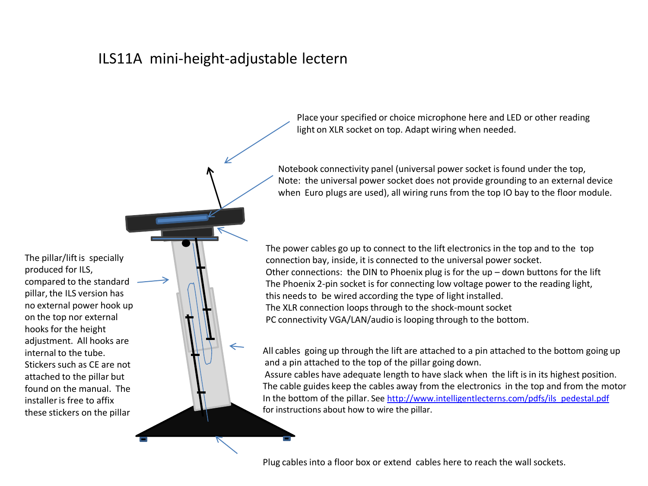## ILS11A mini-height-adjustable lectern

The pillar/lift is specially produced for ILS, compared to the standard pillar, the ILS version has no external power hook up on the top nor external hooks for the height adjustment. All hooks are internal to the tube. Stickers such as CE are not attached to the pillar but found on the manual. The installer is free to affix these stickers on the pillar

Place your specified or choice microphone here and LED or other reading light on XLR socket on top. Adapt wiring when needed.

Notebook connectivity panel (universal power socket is found under the top, Note: the universal power socket does not provide grounding to an external device when Euro plugs are used), all wiring runs from the top IO bay to the floor module.

The power cables go up to connect to the lift electronics in the top and to the top connection bay, inside, it is connected to the universal power socket. Other connections: the DIN to Phoenix plug is for the up – down buttons for the lift The Phoenix 2-pin socket is for connecting low voltage power to the reading light, this needs to be wired according the type of light installed. The XLR connection loops through to the shock-mount socket PC connectivity VGA/LAN/audio is looping through to the bottom.

All cables going up through the lift are attached to a pin attached to the bottom going up and a pin attached to the top of the pillar going down.

Assure cables have adequate length to have slack when the lift is in its highest position. The cable guides keep the cables away from the electronics in the top and from the motor In the bottom of the pillar. See [http://www.intelligentlecterns.com/pdfs/ils\\_pedestal.pdf](http://www.intelligentlecterns.com/pdfs/ils_pedestal.pdf) for instructions about how to wire the pillar.

Plug cables into a floor box or extend cables here to reach the wall sockets.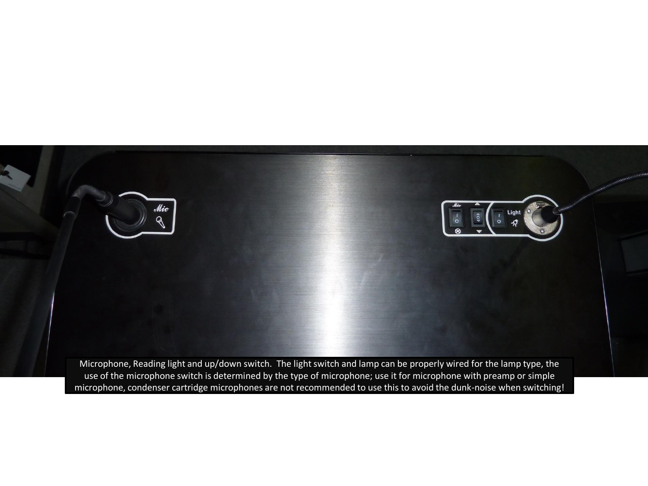